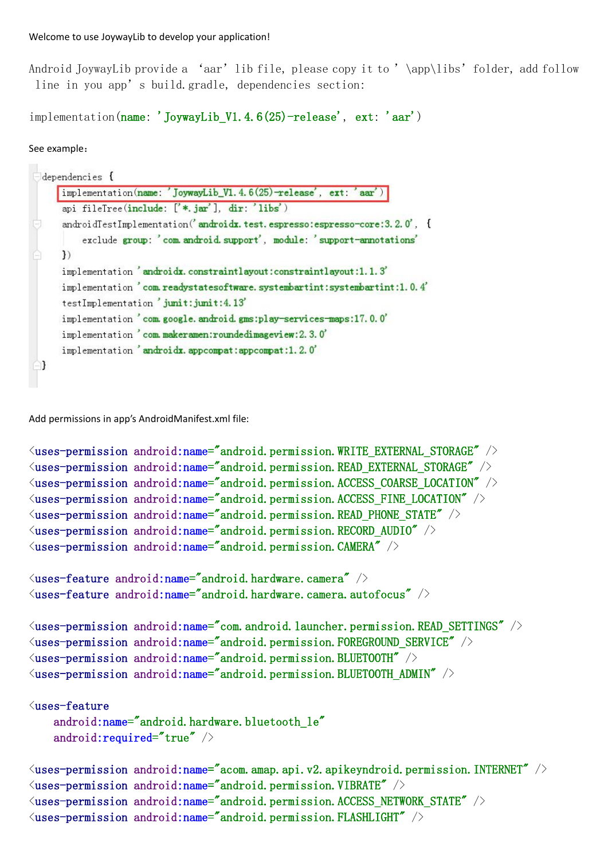Android JoywayLib provide a 'aar' lib file, please copy it to '\app\libs' folder, add follow line in you app's build.gradle, dependencies section:

implementation(name: 'JoywayLib V1.4.6(25)-release', ext: 'aar')

## See example:

| implementation(name: 'JoywayLib_V1.4.6(25)-release', ext: 'aar')          |
|---------------------------------------------------------------------------|
| api fileTree(include: ['*.jar'], dir: 'libs')                             |
| androidTestImplementation('androidx.test.espresso:espresso-core:3.2.0', { |
| exclude group: 'com. android. support', module: 'support-annotations'     |
| ł)                                                                        |
| implementation 'androidx.constraintlayout:constraintlayout:1.1.3'         |
| implementation 'com.readystatesoftware.systembartint:systembartint:1.0.4' |
| testImplementation 'junit:junit:4.13'                                     |
| implementation 'com. google. android. gms:play-services-maps:17.0.0'      |
| implementation 'com.makeramen:roundedimageview: 2.3.0'                    |
| implementation 'androidx.appcompat:appcompat:1.2.0'                       |
|                                                                           |

Add permissions in app's AndroidManifest.xml file:

```
\langleuses-permission android:name="android.permission.WRITE_EXTERNAL_STORAGE" \langle \rangle\Diamonduses-permission android:name="android.permission.READ_EXTERNAL_STORAGE" />
\langleuses-permission android:name="android.permission.ACCESS_COARSE_LOCATION" \langle \rangle\langleuses-permission android:name="android.permission.ACCESS FINE LOCATION" \langle \rangle\langleuses-permission android:name="android.permission.READ_PHONE_STATE" />
\langleuses-permission android:name="android.permission.RECORD_AUDIO" \langle \rangle\langleuses-permission android:name="android.permission.CAMERA" \langle \rangle\langleuses-feature android:name="android.hardware.camera" />
\langleuses-feature android:name="android.hardware.camera.autofocus" />
\langleuses-permission android:name="com.android.launcher.permission.READ SETTINGS" /\langleuses-permission android:name="android.permission.FOREGROUND_SERVICE" />
\langleuses-permission android:name="android.permission.BLUETOOTH" />
\langleuses-permission android:name="android.permission.BLUETOOTH_ADMIN" \langle \rangle\langleuses-feature
    android:name="android.hardware.bluetooth_le"
```

```
android: required="true" \rightarrow
```

```
\langleuses-permission android:name="acom.amap.api.v2.apikeyndroid.permission.INTERNET" \langle \rangle\langleuses-permission android:name="android.permission.VIBRATE" \langle \rangle\langleuses-permission android:name="android.permission.ACCESS_NETWORK_STATE" />
\langleuses-permission android:name="android.permission.FLASHLIGHT" \langle
```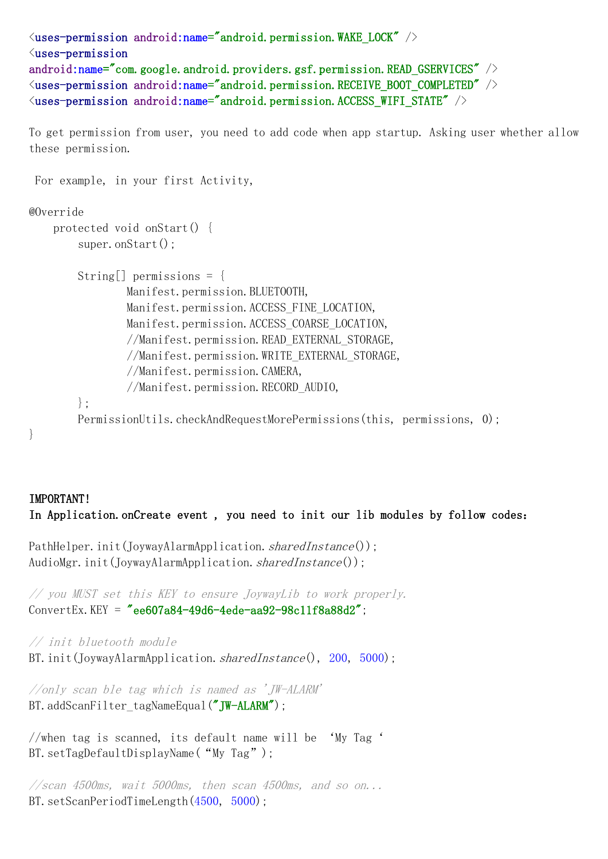```
\langleuses-permission android:name="android.permission.WAKE_LOCK" /<uses-permission
android:name="com.google.android.providers.gsf.permission.READ_GSERVICES" />
\langleuses-permission android:name="android.permission.RECEIVE_BOOT_COMPLETED" \langle \rangle\langleuses-permission android:name="android.permission.ACCESS_WIFI_STATE" />
```
To get permission from user, you need to add code when app startup. Asking user whether allow these permission.

For example, in your first Activity,

## @Override

```
protected void onStart() {
    super.onStart();
```

```
String[] permissions = {
       Manifest.permission.BLUETOOTH,
       Manifest.permission.ACCESS_FINE_LOCATION,
       Manifest.permission.ACCESS_COARSE_LOCATION,
       //Manifest.permission.READ_EXTERNAL_STORAGE,
       //Manifest.permission.WRITE_EXTERNAL_STORAGE,
       //Manifest.permission.CAMERA,
       //Manifest.permission.RECORD_AUDIO,
};
PermissionUtils.checkAndRequestMorePermissions(this, permissions, 0);
```

```
}
```
## IMPORTANT! In Application.onCreate event , you need to init our lib modules by follow codes:

```
PathHelper.init(JoywayAlarmApplication.sharedInstance());
AudioMgr.init(JoywayAlarmApplication.sharedInstance());
```

```
// you MUST set this KEY to ensure JoywayLib to work properly.
ConvertEx. KEY = "ee607a84-49d6-4ede-aa92-98c11f8a88d2"
```
// init bluetooth module BT. init(JoywayAlarmApplication. sharedInstance(), 200, 5000);

//only scan ble tag which is named as 'JW-ALARM' BT.addScanFilter\_tagNameEqual("JW-ALARM");

```
//when tag is scanned, its default name will be 'My Tag'
BT.setTagDefaultDisplayName("My Tag");
```
//scan 4500ms, wait 5000ms, then scan 4500ms, and so on... BT. setScanPeriodTimeLength(4500, 5000);